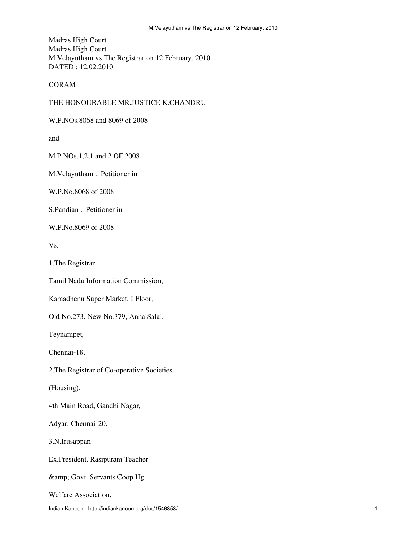Madras High Court Madras High Court M.Velayutham vs The Registrar on 12 February, 2010 DATED : 12.02.2010

CORAM

## THE HONOURABLE MR.JUSTICE K.CHANDRU

W.P.NOs.8068 and 8069 of 2008

and

M.P.NOs.1,2,1 and 2 OF 2008

M.Velayutham .. Petitioner in

W.P.No.8068 of 2008

S.Pandian .. Petitioner in

W.P.No.8069 of 2008

Vs.

1.The Registrar,

Tamil Nadu Information Commission,

Kamadhenu Super Market, I Floor,

Old No.273, New No.379, Anna Salai,

Teynampet,

Chennai-18.

2.The Registrar of Co-operative Societies

(Housing),

4th Main Road, Gandhi Nagar,

Adyar, Chennai-20.

3.N.Irusappan

Ex.President, Rasipuram Teacher

& amp; Govt. Servants Coop Hg.

Welfare Association,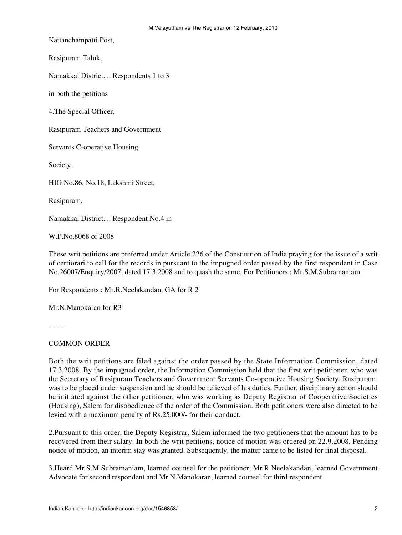Kattanchampatti Post,

Rasipuram Taluk,

Namakkal District. .. Respondents 1 to 3

in both the petitions

4.The Special Officer,

Rasipuram Teachers and Government

Servants C-operative Housing

Society,

HIG No.86, No.18, Lakshmi Street,

Rasipuram,

Namakkal District. .. Respondent No.4 in

W.P.No.8068 of 2008

These writ petitions are preferred under Article 226 of the Constitution of India praying for the issue of a writ of certiorari to call for the records in pursuant to the impugned order passed by the first respondent in Case No.26007/Enquiry/2007, dated 17.3.2008 and to quash the same. For Petitioners : Mr.S.M.Subramaniam

For Respondents : Mr.R.Neelakandan, GA for R 2

Mr.N.Manokaran for R3

- - - -

## COMMON ORDER

Both the writ petitions are filed against the order passed by the State Information Commission, dated 17.3.2008. By the impugned order, the Information Commission held that the first writ petitioner, who was the Secretary of Rasipuram Teachers and Government Servants Co-operative Housing Society, Rasipuram, was to be placed under suspension and he should be relieved of his duties. Further, disciplinary action should be initiated against the other petitioner, who was working as Deputy Registrar of Cooperative Societies (Housing), Salem for disobedience of the order of the Commission. Both petitioners were also directed to be levied with a maximum penalty of Rs.25,000/- for their conduct.

2.Pursuant to this order, the Deputy Registrar, Salem informed the two petitioners that the amount has to be recovered from their salary. In both the writ petitions, notice of motion was ordered on 22.9.2008. Pending notice of motion, an interim stay was granted. Subsequently, the matter came to be listed for final disposal.

3.Heard Mr.S.M.Subramaniam, learned counsel for the petitioner, Mr.R.Neelakandan, learned Government Advocate for second respondent and Mr.N.Manokaran, learned counsel for third respondent.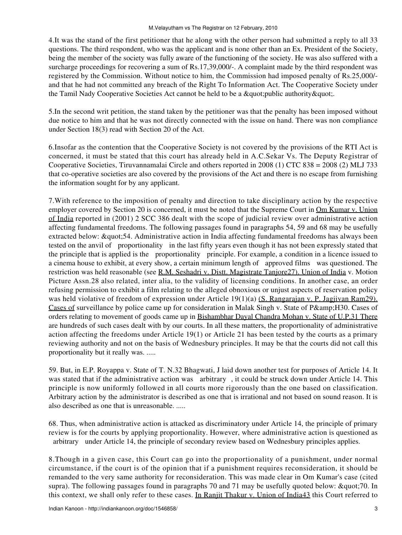4.It was the stand of the first petitioner that he along with the other person had submitted a reply to all 33 questions. The third respondent, who was the applicant and is none other than an Ex. President of the Society, being the member of the society was fully aware of the functioning of the society. He was also suffered with a surcharge proceedings for recovering a sum of Rs.17,39,000/-. A complaint made by the third respondent was registered by the Commission. Without notice to him, the Commission had imposed penalty of Rs.25,000/ and that he had not committed any breach of the Right To Information Act. The Cooperative Society under the Tamil Nady Cooperative Societies Act cannot be held to be a " public authority ".

5.In the second writ petition, the stand taken by the petitioner was that the penalty has been imposed without due notice to him and that he was not directly connected with the issue on hand. There was non compliance under Section 18(3) read with Section 20 of the Act.

6.Insofar as the contention that the Cooperative Society is not covered by the provisions of the RTI Act is concerned, it must be stated that this court has already held in A.C.Sekar Vs. The Deputy Registrar of Cooperative Societies, Tiruvannamalai Circle and others reported in 2008 (1) CTC 838 = 2008 (2) MLJ 733 that co-operative societies are also covered by the provisions of the Act and there is no escape from furnishing the information sought for by any applicant.

7.With reference to the imposition of penalty and direction to take disciplinary action by the respective employer covered by Section 20 is concerned, it must be noted that the Supreme Court in Om Kumar v. Union of India reported in (2001) 2 SCC 386 dealt with the scope of judicial review over administrative action affecting fundamental freedoms. The following passages found in paragraphs 54, 59 and 68 may be usefully extracted below: "54. Administrative action in India affecting fundamental freedoms has always been tested on the anvil of proportionality in the last fifty years even though it has not been expressly stated that the principle that is applied is the proportionality principle. For example, a condition in a licence issued to a cinema house to exhibit, at every show, a certain minimum length of approved films was questioned. The restriction was held reasonable (see R.M. Seshadri v. Distt. Magistrate Tanjore 27). Union of India v. Motion Picture Assn.28 also related, inter alia, to the validity of licensing conditions. In another case, an order refusing permission to exhibit a film relating to the alleged obnoxious or unjust aspects of reservation policy was held violative of freedom of expression under Article 19(1)(a) (S. Rangarajan v. P. Jagjivan Ram29). Cases of surveillance by police came up for consideration in Malak Singh v. State of P& H30. Cases of orders relating to movement of goods came up in Bishambhar Dayal Chandra Mohan v. State of U.P.31 There are hundreds of such cases dealt with by our courts. In all these matters, the proportionality of administrative action affecting the freedoms under Article 19(1) or Article 21 has been tested by the courts as a primary reviewing authority and not on the basis of Wednesbury principles. It may be that the courts did not call this proportionality but it really was. .....

59. But, in E.P. Royappa v. State of T. N.32 Bhagwati, J laid down another test for purposes of Article 14. It was stated that if the administrative action was arbitrary, it could be struck down under Article 14. This principle is now uniformly followed in all courts more rigorously than the one based on classification. Arbitrary action by the administrator is described as one that is irrational and not based on sound reason. It is also described as one that is unreasonable. .....

68. Thus, when administrative action is attacked as discriminatory under Article 14, the principle of primary review is for the courts by applying proportionality. However, where administrative action is questioned as arbitrary under Article 14, the principle of secondary review based on Wednesbury principles applies.

8.Though in a given case, this Court can go into the proportionality of a punishment, under normal circumstance, if the court is of the opinion that if a punishment requires reconsideration, it should be remanded to the very same authority for reconsideration. This was made clear in Om Kumar's case (cited supra). The following passages found in paragraphs 70 and 71 may be usefully quoted below: "70. In this context, we shall only refer to these cases. In Ranjit Thakur v. Union of India43 this Court referred to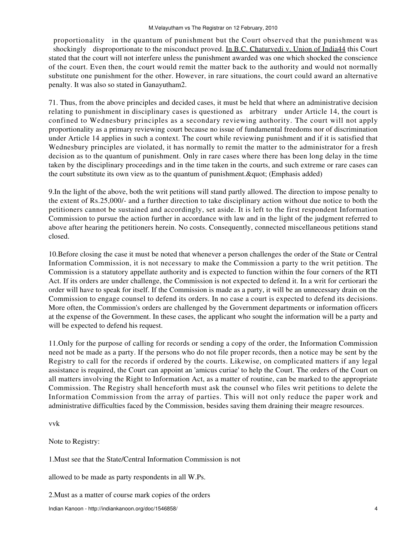proportionality in the quantum of punishment but the Court observed that the punishment was shockingly disproportionate to the misconduct proved. In B.C. Chaturvedi v. Union of India44 this Court stated that the court will not interfere unless the punishment awarded was one which shocked the conscience of the court. Even then, the court would remit the matter back to the authority and would not normally substitute one punishment for the other. However, in rare situations, the court could award an alternative penalty. It was also so stated in Ganayutham2.

71. Thus, from the above principles and decided cases, it must be held that where an administrative decision relating to punishment in disciplinary cases is questioned as arbitrary under Article 14, the court is confined to Wednesbury principles as a secondary reviewing authority. The court will not apply proportionality as a primary reviewing court because no issue of fundamental freedoms nor of discrimination under Article 14 applies in such a context. The court while reviewing punishment and if it is satisfied that Wednesbury principles are violated, it has normally to remit the matter to the administrator for a fresh decision as to the quantum of punishment. Only in rare cases where there has been long delay in the time taken by the disciplinary proceedings and in the time taken in the courts, and such extreme or rare cases can the court substitute its own view as to the quantum of punishment. & quot; (Emphasis added)

9.In the light of the above, both the writ petitions will stand partly allowed. The direction to impose penalty to the extent of Rs.25,000/- and a further direction to take disciplinary action without due notice to both the petitioners cannot be sustained and accordingly, set aside. It is left to the first respondent Information Commission to pursue the action further in accordance with law and in the light of the judgment referred to above after hearing the petitioners herein. No costs. Consequently, connected miscellaneous petitions stand closed.

10.Before closing the case it must be noted that whenever a person challenges the order of the State or Central Information Commission, it is not necessary to make the Commission a party to the writ petition. The Commission is a statutory appellate authority and is expected to function within the four corners of the RTI Act. If its orders are under challenge, the Commission is not expected to defend it. In a writ for certiorari the order will have to speak for itself. If the Commission is made as a party, it will be an unnecessary drain on the Commission to engage counsel to defend its orders. In no case a court is expected to defend its decisions. More often, the Commission's orders are challenged by the Government departments or information officers at the expense of the Government. In these cases, the applicant who sought the information will be a party and will be expected to defend his request.

11.Only for the purpose of calling for records or sending a copy of the order, the Information Commission need not be made as a party. If the persons who do not file proper records, then a notice may be sent by the Registry to call for the records if ordered by the courts. Likewise, on complicated matters if any legal assistance is required, the Court can appoint an 'amicus curiae' to help the Court. The orders of the Court on all matters involving the Right to Information Act, as a matter of routine, can be marked to the appropriate Commission. The Registry shall henceforth must ask the counsel who files writ petitions to delete the Information Commission from the array of parties. This will not only reduce the paper work and administrative difficulties faced by the Commission, besides saving them draining their meagre resources.

vvk

Note to Registry:

1.Must see that the State/Central Information Commission is not

allowed to be made as party respondents in all W.Ps.

2.Must as a matter of course mark copies of the orders